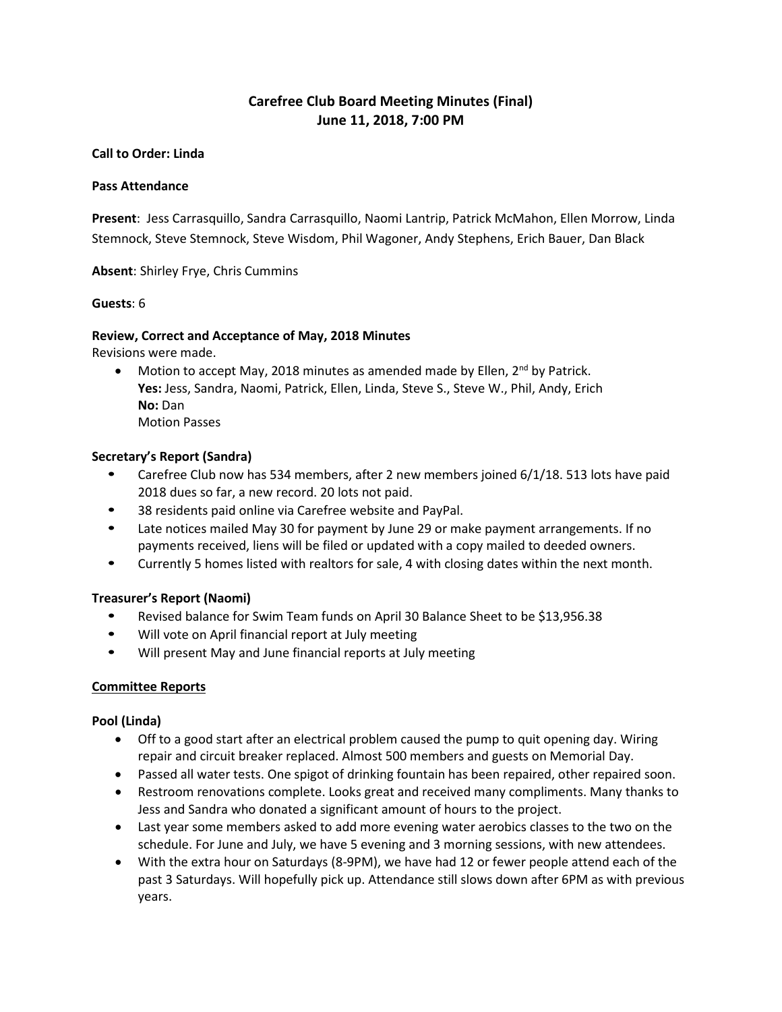# **Carefree Club Board Meeting Minutes (Final) June 11, 2018, 7:00 PM**

### **Call to Order: Linda**

### **Pass Attendance**

**Present**: Jess Carrasquillo, Sandra Carrasquillo, Naomi Lantrip, Patrick McMahon, Ellen Morrow, Linda Stemnock, Steve Stemnock, Steve Wisdom, Phil Wagoner, Andy Stephens, Erich Bauer, Dan Black

**Absent**: Shirley Frye, Chris Cummins

### **Guests**: 6

### **Review, Correct and Acceptance of May, 2018 Minutes**

Revisions were made.

• Motion to accept May, 2018 minutes as amended made by Ellen,  $2^{nd}$  by Patrick. **Yes:** Jess, Sandra, Naomi, Patrick, Ellen, Linda, Steve S., Steve W., Phil, Andy, Erich **No:** Dan Motion Passes

### **Secretary's Report (Sandra)**

- Carefree Club now has 534 members, after 2 new members joined 6/1/18. 513 lots have paid 2018 dues so far, a new record. 20 lots not paid.
- 38 residents paid online via Carefree website and PayPal.
- Late notices mailed May 30 for payment by June 29 or make payment arrangements. If no payments received, liens will be filed or updated with a copy mailed to deeded owners.
- Currently 5 homes listed with realtors for sale, 4 with closing dates within the next month.

# **Treasurer's Report (Naomi)**

- Revised balance for Swim Team funds on April 30 Balance Sheet to be \$13,956.38
- Will vote on April financial report at July meeting
- Will present May and June financial reports at July meeting

# **Committee Reports**

# **Pool (Linda)**

- Off to a good start after an electrical problem caused the pump to quit opening day. Wiring repair and circuit breaker replaced. Almost 500 members and guests on Memorial Day.
- Passed all water tests. One spigot of drinking fountain has been repaired, other repaired soon.
- Restroom renovations complete. Looks great and received many compliments. Many thanks to Jess and Sandra who donated a significant amount of hours to the project.
- Last year some members asked to add more evening water aerobics classes to the two on the schedule. For June and July, we have 5 evening and 3 morning sessions, with new attendees.
- With the extra hour on Saturdays (8-9PM), we have had 12 or fewer people attend each of the past 3 Saturdays. Will hopefully pick up. Attendance still slows down after 6PM as with previous years.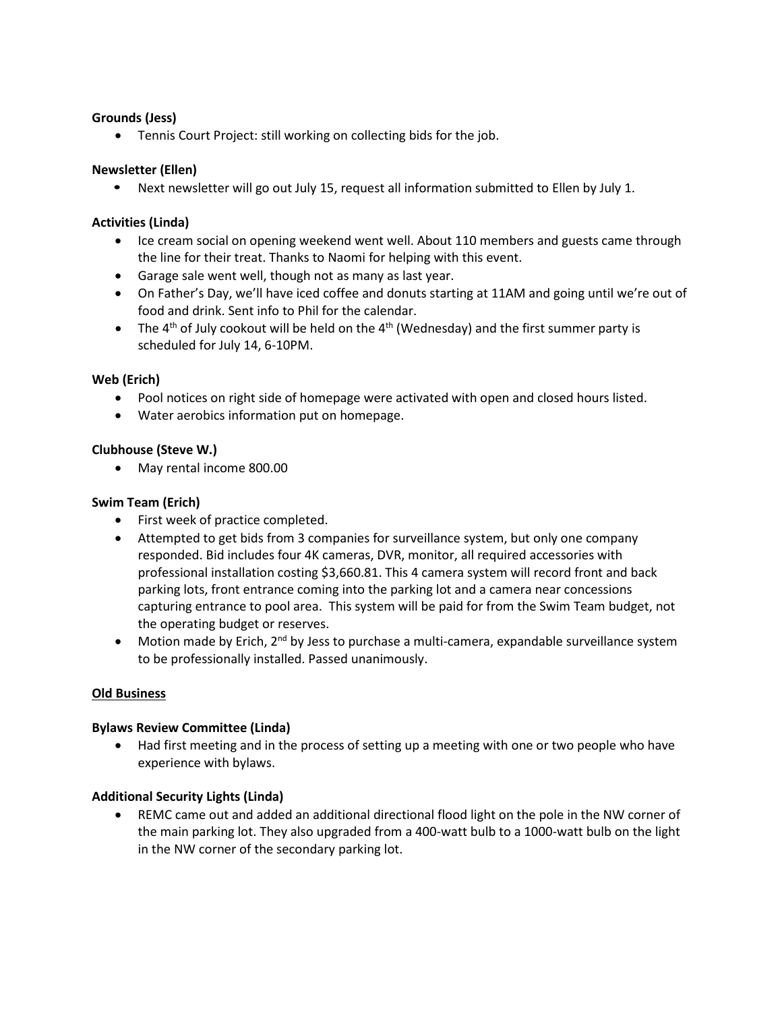# **Grounds (Jess)**

• Tennis Court Project: still working on collecting bids for the job.

# **Newsletter (Ellen)**

• Next newsletter will go out July 15, request all information submitted to Ellen by July 1.

# **Activities (Linda)**

- Ice cream social on opening weekend went well. About 110 members and guests came through the line for their treat. Thanks to Naomi for helping with this event.
- Garage sale went well, though not as many as last year.
- On Father's Day, we'll have iced coffee and donuts starting at 11AM and going until we're out of food and drink. Sent info to Phil for the calendar.
- The 4<sup>th</sup> of July cookout will be held on the 4<sup>th</sup> (Wednesday) and the first summer party is scheduled for July 14, 6-10PM.

# **Web (Erich)**

- Pool notices on right side of homepage were activated with open and closed hours listed.
- Water aerobics information put on homepage.

# **Clubhouse (Steve W.)**

• May rental income 800.00

# **Swim Team (Erich)**

- First week of practice completed.
- Attempted to get bids from 3 companies for surveillance system, but only one company responded. Bid includes four 4K cameras, DVR, monitor, all required accessories with professional installation costing \$3,660.81. This 4 camera system will record front and back parking lots, front entrance coming into the parking lot and a camera near concessions capturing entrance to pool area. This system will be paid for from the Swim Team budget, not the operating budget or reserves.
- Motion made by Erich,  $2^{nd}$  by Jess to purchase a multi-camera, expandable surveillance system to be professionally installed. Passed unanimously.

# **Old Business**

# **Bylaws Review Committee (Linda)**

• Had first meeting and in the process of setting up a meeting with one or two people who have experience with bylaws.

# **Additional Security Lights (Linda)**

• REMC came out and added an additional directional flood light on the pole in the NW corner of the main parking lot. They also upgraded from a 400-watt bulb to a 1000-watt bulb on the light in the NW corner of the secondary parking lot.